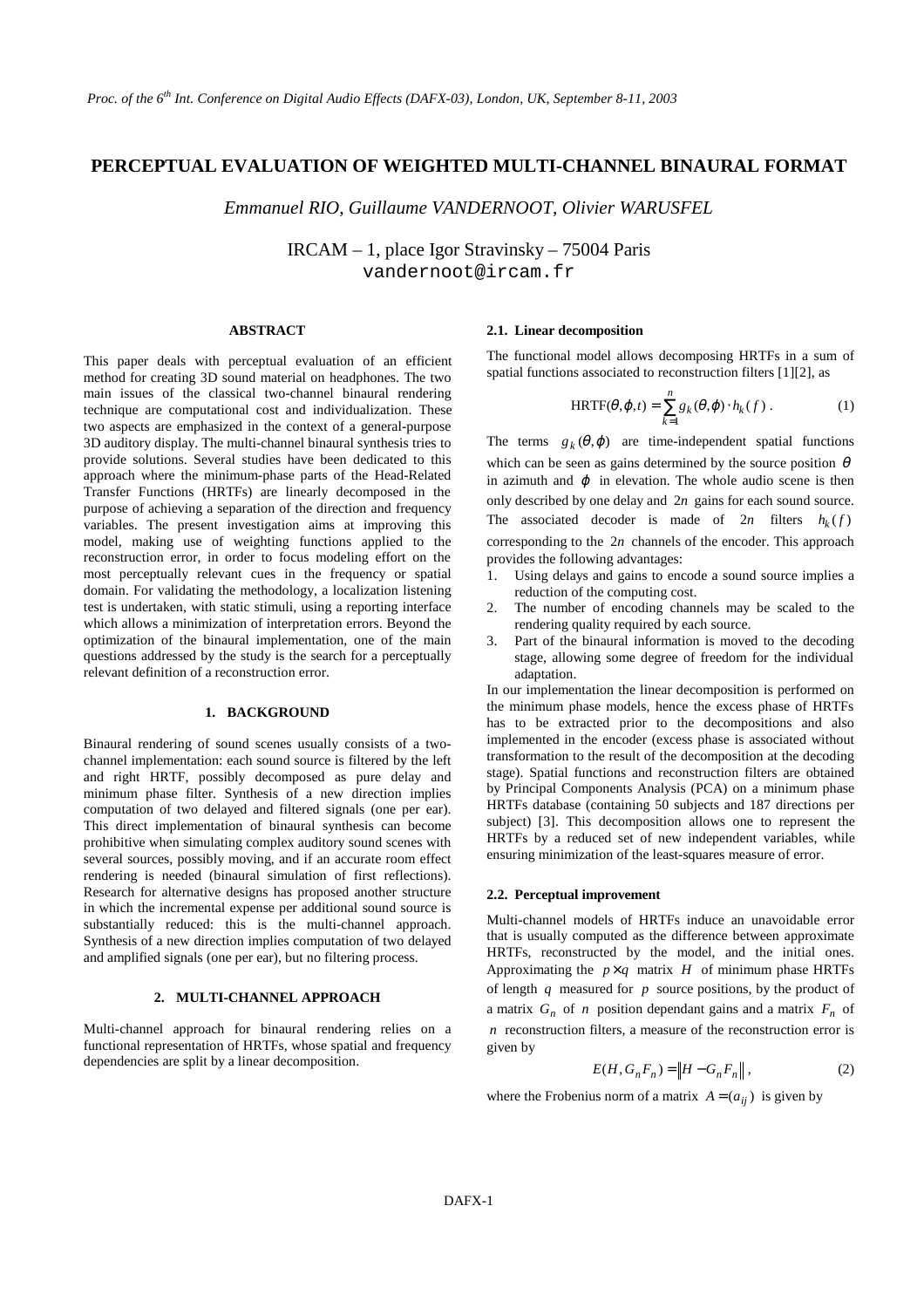# **PERCEPTUAL EVALUATION OF WEIGHTED MULTI-CHANNEL BINAURAL FORMAT**

*Emmanuel RIO, Guillaume VANDERNOOT, Olivier WARUSFEL*

IRCAM – 1, place Igor Stravinsky – 75004 Paris vandernoot@ircam.fr

## **ABSTRACT**

This paper deals with perceptual evaluation of an efficient method for creating 3D sound material on headphones. The two main issues of the classical two-channel binaural rendering technique are computational cost and individualization. These two aspects are emphasized in the context of a general-purpose 3D auditory display. The multi-channel binaural synthesis tries to provide solutions. Several studies have been dedicated to this approach where the minimum-phase parts of the Head-Related Transfer Functions (HRTFs) are linearly decomposed in the purpose of achieving a separation of the direction and frequency variables. The present investigation aims at improving this model, making use of weighting functions applied to the reconstruction error, in order to focus modeling effort on the most perceptually relevant cues in the frequency or spatial domain. For validating the methodology, a localization listening test is undertaken, with static stimuli, using a reporting interface which allows a minimization of interpretation errors. Beyond the optimization of the binaural implementation, one of the main questions addressed by the study is the search for a perceptually relevant definition of a reconstruction error.

# **1. BACKGROUND**

Binaural rendering of sound scenes usually consists of a twochannel implementation: each sound source is filtered by the left and right HRTF, possibly decomposed as pure delay and minimum phase filter. Synthesis of a new direction implies computation of two delayed and filtered signals (one per ear). This direct implementation of binaural synthesis can become prohibitive when simulating complex auditory sound scenes with several sources, possibly moving, and if an accurate room effect rendering is needed (binaural simulation of first reflections). Research for alternative designs has proposed another structure in which the incremental expense per additional sound source is substantially reduced: this is the multi-channel approach. Synthesis of a new direction implies computation of two delayed and amplified signals (one per ear), but no filtering process.

### **2. MULTI-CHANNEL APPROACH**

Multi-channel approach for binaural rendering relies on a functional representation of HRTFs, whose spatial and frequency dependencies are split by a linear decomposition.

# **2.1. Linear decomposition**

The functional model allows decomposing HRTFs in a sum of spatial functions associated to reconstruction filters [1][2], as

$$
HRTF(\theta, \varphi, t) = \sum_{k=1}^{n} g_k(\theta, \varphi) \cdot h_k(f).
$$
 (1)

The terms  $g_k(\theta, \varphi)$  are time-independent spatial functions which can be seen as gains determined by the source position  $\theta$ in azimuth and  $\varphi$  in elevation. The whole audio scene is then only described by one delay and  $2n$  gains for each sound source. The associated decoder is made of  $2n$  filters  $h_k(f)$ corresponding to the  $2n$  channels of the encoder. This approach provides the following advantages:

- Using delays and gains to encode a sound source implies a reduction of the computing cost.
- 2. The number of encoding channels may be scaled to the rendering quality required by each source.
- Part of the binaural information is moved to the decoding stage, allowing some degree of freedom for the individual adaptation.

In our implementation the linear decomposition is performed on the minimum phase models, hence the excess phase of HRTFs has to be extracted prior to the decompositions and also implemented in the encoder (excess phase is associated without transformation to the result of the decomposition at the decoding stage). Spatial functions and reconstruction filters are obtained by Principal Components Analysis (PCA) on a minimum phase HRTFs database (containing 50 subjects and 187 directions per subject) [3]. This decomposition allows one to represent the HRTFs by a reduced set of new independent variables, while ensuring minimization of the least-squares measure of error.

## **2.2. Perceptual improvement**

Multi-channel models of HRTFs induce an unavoidable error that is usually computed as the difference between approximate HRTFs, reconstructed by the model, and the initial ones. Approximating the  $p \times q$  matrix *H* of minimum phase HRTFs of length *q* measured for *p* source positions, by the product of a matrix  $G_n$  of *n* position dependant gains and a matrix  $F_n$  of *n* reconstruction filters, a measure of the reconstruction error is given by

$$
E(H, G_n F_n) = \|H - G_n F_n\|,
$$
 (2)

where the Frobenius norm of a matrix  $A = (a_{ij})$  is given by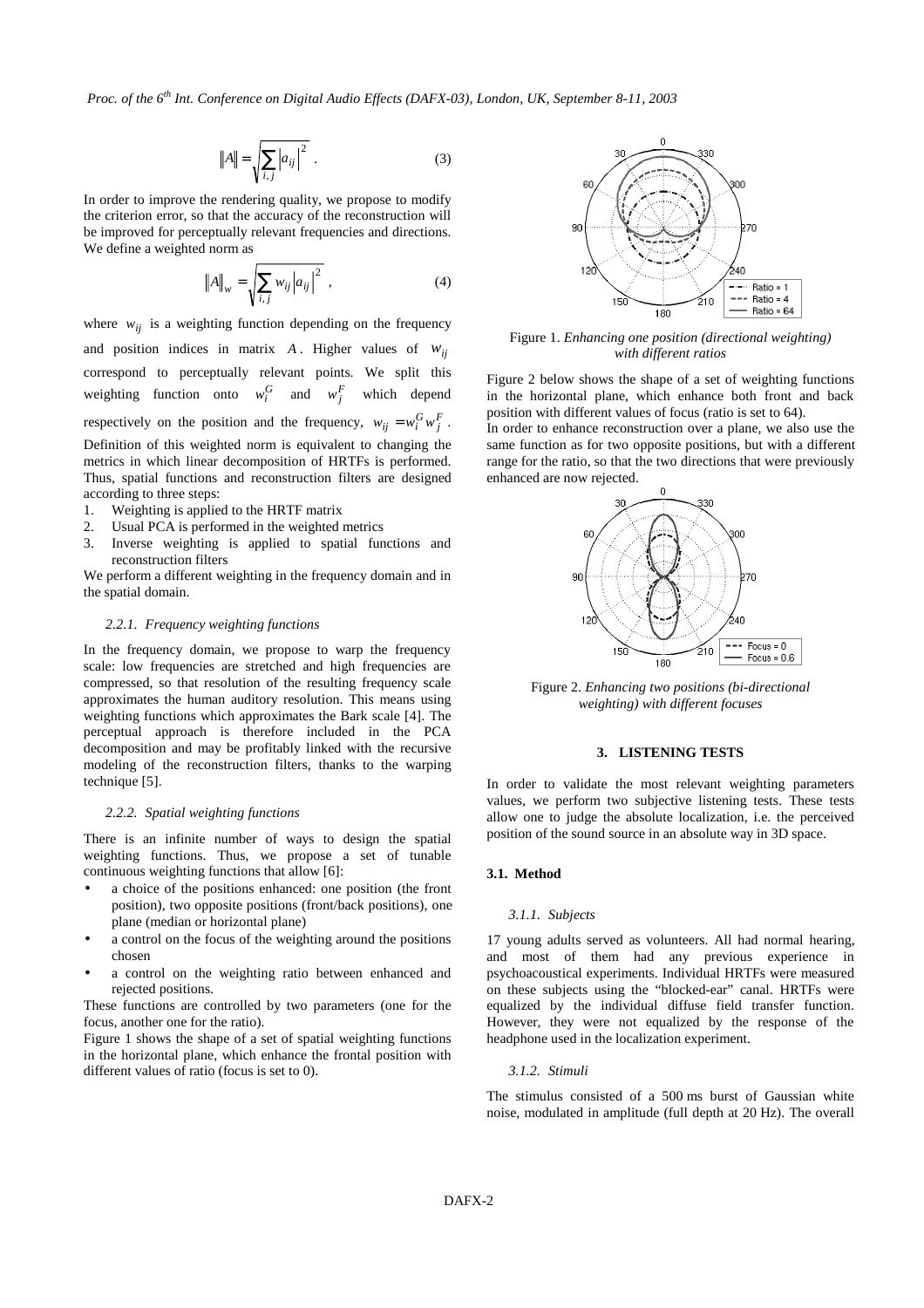*Proc. of the 6th Int. Conference on Digital Audio Effects (DAFX-03), London, UK, September 8-11, 2003*

$$
||A|| = \sqrt{\sum_{i,j} |a_{ij}|^2} .
$$
 (3)

In order to improve the rendering quality, we propose to modify the criterion error, so that the accuracy of the reconstruction will be improved for perceptually relevant frequencies and directions. We define a weighted norm as

$$
||A||_{w} = \sqrt{\sum_{i,j} w_{ij} |a_{ij}|^{2}} , \qquad (4)
$$

where  $w_{ij}$  is a weighting function depending on the frequency and position indices in matrix  $A$ . Higher values of  $w_{ij}$ correspond to perceptually relevant points. We split this weighting function onto  $w_i^G$  and  $w_i^F$  which depend respectively on the position and the frequency,  $w_{ij} = w_i^G w_j^F$ . Definition of this weighted norm is equivalent to changing the metrics in which linear decomposition of HRTFs is performed. Thus, spatial functions and reconstruction filters are designed according to three steps:

- 1. Weighting is applied to the HRTF matrix
- 2. Usual PCA is performed in the weighted metrics
- 3. Inverse weighting is applied to spatial functions and reconstruction filters

We perform a different weighting in the frequency domain and in the spatial domain.

# *2.2.1. Frequency weighting functions*

In the frequency domain, we propose to warp the frequency scale: low frequencies are stretched and high frequencies are compressed, so that resolution of the resulting frequency scale approximates the human auditory resolution. This means using weighting functions which approximates the Bark scale [4]. The perceptual approach is therefore included in the PCA decomposition and may be profitably linked with the recursive modeling of the reconstruction filters, thanks to the warping technique [5].

#### *2.2.2. Spatial weighting functions*

There is an infinite number of ways to design the spatial weighting functions. Thus, we propose a set of tunable continuous weighting functions that allow [6]:

- a choice of the positions enhanced: one position (the front position), two opposite positions (front/back positions), one plane (median or horizontal plane)
- a control on the focus of the weighting around the positions chosen
- a control on the weighting ratio between enhanced and rejected positions.

These functions are controlled by two parameters (one for the focus, another one for the ratio).

Figure 1 shows the shape of a set of spatial weighting functions in the horizontal plane, which enhance the frontal position with different values of ratio (focus is set to 0).



Figure 1. *Enhancing one position (directional weighting) with different ratios*

Figure 2 below shows the shape of a set of weighting functions in the horizontal plane, which enhance both front and back position with different values of focus (ratio is set to 64).

In order to enhance reconstruction over a plane, we also use the same function as for two opposite positions, but with a different range for the ratio, so that the two directions that were previously enhanced are now rejected.



Figure 2. *Enhancing two positions (bi-directional weighting) with different focuses*

### **3. LISTENING TESTS**

In order to validate the most relevant weighting parameters values, we perform two subjective listening tests. These tests allow one to judge the absolute localization, i.e. the perceived position of the sound source in an absolute way in 3D space.

# **3.1. Method**

### *3.1.1. Subjects*

17 young adults served as volunteers. All had normal hearing, and most of them had any previous experience in psychoacoustical experiments. Individual HRTFs were measured on these subjects using the "blocked-ear" canal. HRTFs were equalized by the individual diffuse field transfer function. However, they were not equalized by the response of the headphone used in the localization experiment.

# *3.1.2. Stimuli*

The stimulus consisted of a 500 ms burst of Gaussian white noise, modulated in amplitude (full depth at 20 Hz). The overall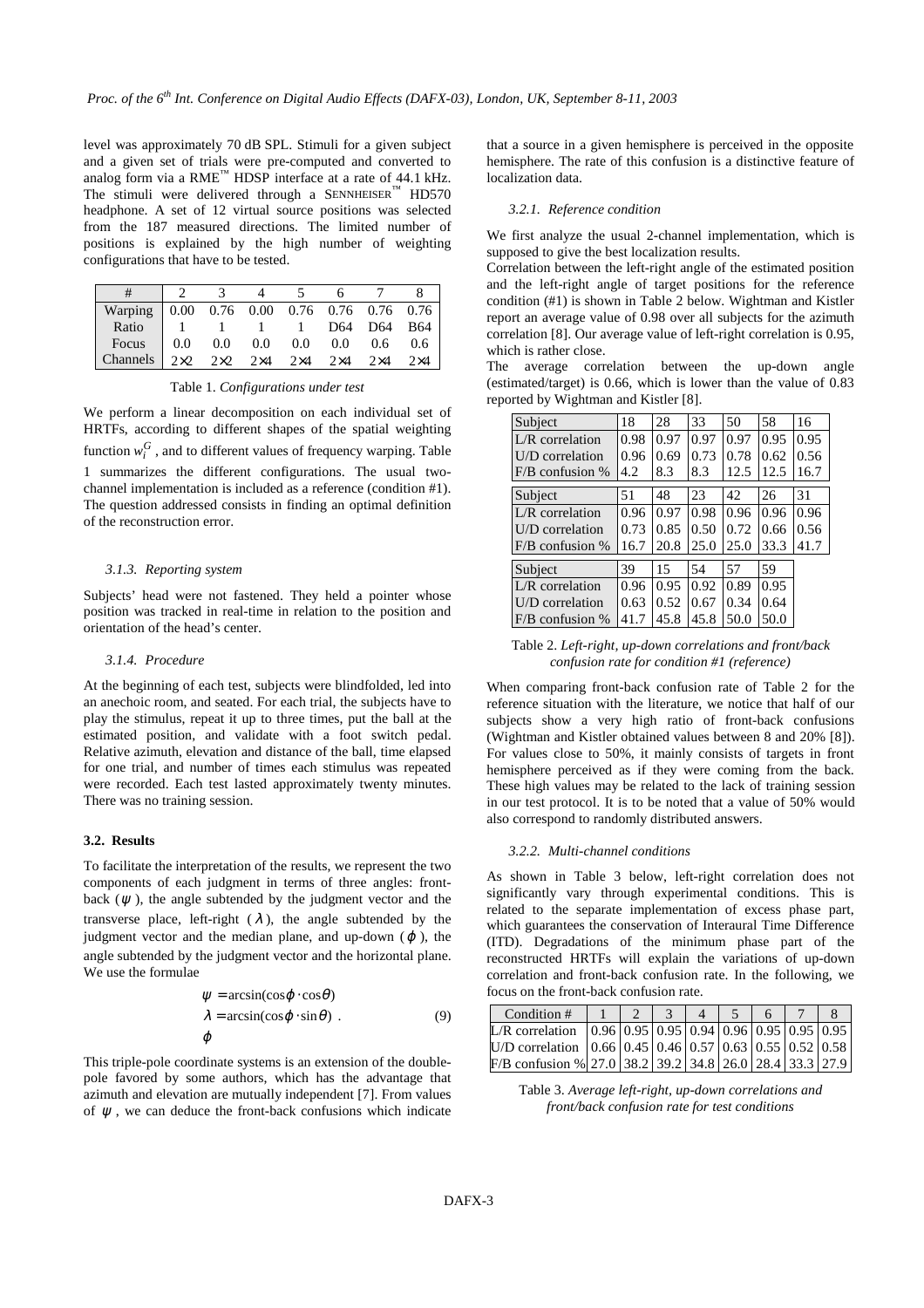level was approximately 70 dB SPL. Stimuli for a given subject and a given set of trials were pre-computed and converted to analog form via a RME™ HDSP interface at a rate of 44.1 kHz. The stimuli were delivered through a SENNHEISER™ HD570 headphone. A set of 12 virtual source positions was selected from the 187 measured directions. The limited number of positions is explained by the high number of weighting configurations that have to be tested.

| Warping 0.00 0.76 0.00 0.76 0.76 0.76 0.76                                |  |                                       |  |            |            |
|---------------------------------------------------------------------------|--|---------------------------------------|--|------------|------------|
| Ratio                                                                     |  | $1 \t1 \t1 \t1 \t1 \tD64 \tD64 \tB64$ |  |            |            |
| Focus 0.0 0.0 0.0 0.0 0.0 0.6 0.6                                         |  |                                       |  |            |            |
| Channels $2 \times 2$ $2 \times 2$ $2 \times 4$ $2 \times 4$ $2 \times 4$ |  |                                       |  | $2\times4$ | $2\times4$ |

Table 1. *Configurations under test*

We perform a linear decomposition on each individual set of HRTFs, according to different shapes of the spatial weighting function  $w_i^G$ , and to different values of frequency warping. Table 1 summarizes the different configurations. The usual twochannel implementation is included as a reference (condition #1). The question addressed consists in finding an optimal definition of the reconstruction error.

### *3.1.3. Reporting system*

Subjects' head were not fastened. They held a pointer whose position was tracked in real-time in relation to the position and orientation of the head's center.

### *3.1.4. Procedure*

At the beginning of each test, subjects were blindfolded, led into an anechoic room, and seated. For each trial, the subjects have to play the stimulus, repeat it up to three times, put the ball at the estimated position, and validate with a foot switch pedal. Relative azimuth, elevation and distance of the ball, time elapsed for one trial, and number of times each stimulus was repeated were recorded. Each test lasted approximately twenty minutes. There was no training session.

### **3.2. Results**

To facilitate the interpretation of the results, we represent the two components of each judgment in terms of three angles: frontback  $(\psi)$ , the angle subtended by the judgment vector and the transverse place, left-right  $(\lambda)$ , the angle subtended by the judgment vector and the median plane, and up-down ( $\varphi$ ), the angle subtended by the judgment vector and the horizontal plane. We use the formulae

$$
\begin{cases}\n\psi = \arcsin(\cos\varphi \cdot \cos\theta) \\
\lambda = \arcsin(\cos\varphi \cdot \sin\theta) \\
\varphi\n\end{cases} (9)
$$

This triple-pole coordinate systems is an extension of the doublepole favored by some authors, which has the advantage that azimuth and elevation are mutually independent [7]. From values of  $\psi$ , we can deduce the front-back confusions which indicate that a source in a given hemisphere is perceived in the opposite hemisphere. The rate of this confusion is a distinctive feature of localization data.

### *3.2.1. Reference condition*

We first analyze the usual 2-channel implementation, which is supposed to give the best localization results.

Correlation between the left-right angle of the estimated position and the left-right angle of target positions for the reference condition (#1) is shown in Table 2 below. Wightman and Kistler report an average value of 0.98 over all subjects for the azimuth correlation [8]. Our average value of left-right correlation is 0.95, which is rather close.

The average correlation between the up-down angle (estimated/target) is 0.66, which is lower than the value of 0.83 reported by Wightman and Kistler [8].

| Subject           | 18   | 28   | 33   | 50   | 58   | 16   |
|-------------------|------|------|------|------|------|------|
| $L/R$ correlation | 0.98 | 0.97 | 0.97 | 0.97 | 0.95 | 0.95 |
| U/D correlation   | 0.96 | 0.69 | 0.73 | 0.78 | 0.62 | 0.56 |
| $F/B$ confusion % | 4.2  | 8.3  | 8.3  | 12.5 | 12.5 | 16.7 |
|                   | 51   | 48   | 23   | 42   | 26   | 31   |
| Subject           |      |      |      |      |      |      |
| $L/R$ correlation | 0.96 | 0.97 | 0.98 | 0.96 | 0.96 | 0.96 |
| U/D correlation   | 0.73 | 0.85 | 0.50 | 0.72 | 0.66 | 0.56 |
| $F/B$ confusion % | 16.7 | 20.8 | 25.0 | 25.0 | 33.3 | 41.7 |
|                   |      |      |      |      |      |      |
| Subject           | 39   | 15   | 54   | 57   | 59   |      |
| $L/R$ correlation | 0.96 | 0.95 | 0.92 | 0.89 | 0.95 |      |
| U/D correlation   | 0.63 | 0.52 | 0.67 | 0.34 | 0.64 |      |
| $F/B$ confusion % | 41.7 | 45.8 | 45.8 | 50.0 | 50.0 |      |

Table 2. *Left-right, up-down correlations and front/back confusion rate for condition #1 (reference)*

When comparing front-back confusion rate of Table 2 for the reference situation with the literature, we notice that half of our subjects show a very high ratio of front-back confusions (Wightman and Kistler obtained values between 8 and 20% [8]). For values close to 50%, it mainly consists of targets in front hemisphere perceived as if they were coming from the back. These high values may be related to the lack of training session in our test protocol. It is to be noted that a value of 50% would also correspond to randomly distributed answers.

#### *3.2.2. Multi-channel conditions*

As shown in Table 3 below, left-right correlation does not significantly vary through experimental conditions. This is related to the separate implementation of excess phase part, which guarantees the conservation of Interaural Time Difference (ITD). Degradations of the minimum phase part of the reconstructed HRTFs will explain the variations of up-down correlation and front-back confusion rate. In the following, we focus on the front-back confusion rate.

| Condition #                                                        |  |  |  |  |
|--------------------------------------------------------------------|--|--|--|--|
| L/R correlation $(0.96)(0.95)(0.94)(0.96)(0.95)(0.95)(0.95)$       |  |  |  |  |
| U/D correlation $(0.66)(0.45)(0.46)(0.57)(0.63)(0.55)(0.52)(0.58)$ |  |  |  |  |
| $F/B$ confusion % 27.0 38.2 39.2 34.8 26.0 28.4 33.3 27.9          |  |  |  |  |

Table 3. *Average left-right, up-down correlations and front/back confusion rate for test conditions*